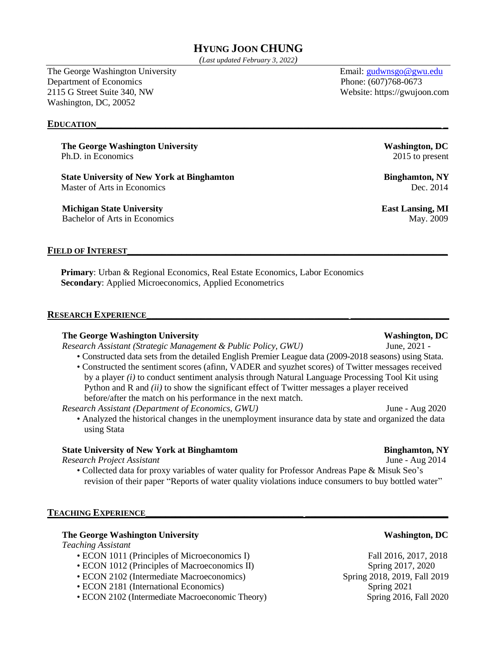# **HYUNG JOON CHUNG**

*(Last updated February 3, 2022)*

The George Washington University **Email:** Email: [gudwnsgo@gwu.edu](mailto:jc1710120@gmail.com) Department of Economics Phone: (607)768-0673 2115 G Street Suite 340, NW Website: https://gwujoon.com Washington, DC, 20052

### $E$ **DUCATION**

**The George Washington University Washington, DC** Ph.D. in Economics 2015 to present

**State University of New York at Binghamton Binghamton Binghamton, NY** Master of Arts in Economics **Dec.** 2014

**Michigan State University East Lansing, MI** Bachelor of Arts in Economics May. 2009

#### **FIELD OF INTEREST\_\_\_\_\_\_\_\_\_\_\_\_\_\_\_\_\_\_\_\_\_\_\_\_\_\_\_\_\_\_\_\_\_\_\_\_\_\_\_\_\_\_\_\_\_\_\_\_\_\_\_\_\_\_\_\_\_\_\_\_\_\_\_\_\_**

**Primary:** Urban & Regional Economics, Real Estate Economics, Labor Economics **Secondary**: Applied Microeconomics, Applied Econometrics

#### **RESEARCH EXPERIENCE\_\_\_\_\_\_\_\_\_\_\_\_\_\_\_\_\_\_\_\_\_\_\_\_\_\_\_\_\_\_\_\_\_\_\_\_\_\_\_\_\_ \_\_\_\_\_\_\_\_\_\_\_\_\_\_\_\_\_\_\_\_**

#### **The George Washington University Washington, DC**

*Research Assistant (Strategic Management & Public Policy, GWU)* June, 2021 -

- Constructed data sets from the detailed English Premier League data (2009-2018 seasons) using Stata.
- Constructed the sentiment scores (afinn, VADER and syuzhet scores) of Twitter messages received by a player *(i)* to conduct sentiment analysis through Natural Language Processing Tool Kit using Python and R and *(ii)* to show the significant effect of Twitter messages a player received before/after the match on his performance in the next match.

*Research Assistant (Department of Economics, GWU)* June - Aug 2020

• Analyzed the historical changes in the unemployment insurance data by state and organized the data using Stata

# **State University of New York at Binghamtom Binghamton, NY**

*Research Project Assistant* June - Aug 2014

• Collected data for proxy variables of water quality for Professor Andreas Pape & Misuk Seo's revision of their paper "Reports of water quality violations induce consumers to buy bottled water"

#### $$

### **The George Washington University Washington, DC**

*Teaching Assistant*

- ECON 1011 (Principles of Microeconomics I) Fall 2016, 2017, 2018
- ECON 1012 (Principles of Macroeconomics II) Spring 2017, 2020
- ECON 2102 (Intermediate Macroeconomics) Spring 2018, 2019, Fall 2019
- ECON 2181 (International Economics) Spring 2021
- ECON 2102 (Intermediate Macroeconomic Theory) Spring 2016, Fall 2020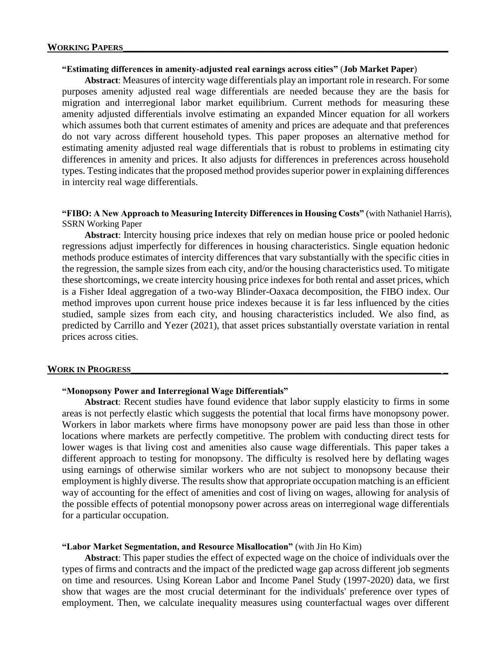# **"Estimating differences in amenity-adjusted real earnings across cities"** (**Job Market Paper**)

**Abstract**: Measures of intercity wage differentials play an important role in research. For some purposes amenity adjusted real wage differentials are needed because they are the basis for migration and interregional labor market equilibrium. Current methods for measuring these amenity adjusted differentials involve estimating an expanded Mincer equation for all workers which assumes both that current estimates of amenity and prices are adequate and that preferences do not vary across different household types. This paper proposes an alternative method for estimating amenity adjusted real wage differentials that is robust to problems in estimating city differences in amenity and prices. It also adjusts for differences in preferences across household types. Testing indicates that the proposed method provides superior power in explaining differences in intercity real wage differentials.

# **"FIBO: A New Approach to Measuring Intercity Differences in Housing Costs"** (with Nathaniel Harris), SSRN Working Paper

**Abstract**: Intercity housing price indexes that rely on median house price or pooled hedonic regressions adjust imperfectly for differences in housing characteristics. Single equation hedonic methods produce estimates of intercity differences that vary substantially with the specific cities in the regression, the sample sizes from each city, and/or the housing characteristics used. To mitigate these shortcomings, we create intercity housing price indexes for both rental and asset prices, which is a Fisher Ideal aggregation of a two-way Blinder-Oaxaca decomposition, the FIBO index. Our method improves upon current house price indexes because it is far less influenced by the cities studied, sample sizes from each city, and housing characteristics included. We also find, as predicted by Carrillo and Yezer (2021), that asset prices substantially overstate variation in rental prices across cities.

### **WORK IN PROGRESS\_\_\_\_\_\_\_\_\_\_\_\_\_\_\_\_\_\_\_\_\_\_\_\_\_\_\_\_\_\_\_\_\_\_\_\_\_\_\_\_\_\_\_\_\_\_\_\_\_\_\_\_\_\_\_\_\_\_\_\_\_\_\_ \_**

# **"Monopsony Power and Interregional Wage Differentials"**

**Abstract**: Recent studies have found evidence that labor supply elasticity to firms in some areas is not perfectly elastic which suggests the potential that local firms have monopsony power. Workers in labor markets where firms have monopsony power are paid less than those in other locations where markets are perfectly competitive. The problem with conducting direct tests for lower wages is that living cost and amenities also cause wage differentials. This paper takes a different approach to testing for monopsony. The difficulty is resolved here by deflating wages using earnings of otherwise similar workers who are not subject to monopsony because their employment is highly diverse. The results show that appropriate occupation matching is an efficient way of accounting for the effect of amenities and cost of living on wages, allowing for analysis of the possible effects of potential monopsony power across areas on interregional wage differentials for a particular occupation.

### **"Labor Market Segmentation, and Resource Misallocation"** (with Jin Ho Kim)

**Abstract**: This paper studies the effect of expected wage on the choice of individuals over the types of firms and contracts and the impact of the predicted wage gap across different job segments on time and resources. Using Korean Labor and Income Panel Study (1997-2020) data, we first show that wages are the most crucial determinant for the individuals' preference over types of employment. Then, we calculate inequality measures using counterfactual wages over different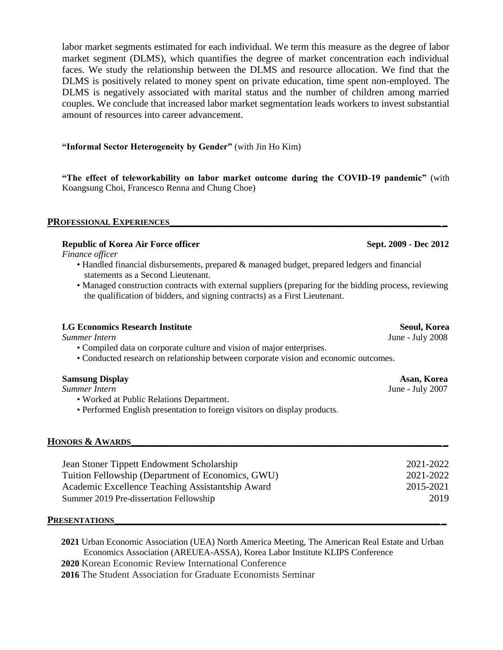labor market segments estimated for each individual. We term this measure as the degree of labor market segment (DLMS), which quantifies the degree of market concentration each individual faces. We study the relationship between the DLMS and resource allocation. We find that the DLMS is positively related to money spent on private education, time spent non-employed. The DLMS is negatively associated with marital status and the number of children among married couples. We conclude that increased labor market segmentation leads workers to invest substantial amount of resources into career advancement.

# **"Informal Sector Heterogeneity by Gender"** (with Jin Ho Kim)

**"The effect of teleworkability on labor market outcome during the COVID-19 pandemic"** (with Koangsung Choi, Francesco Renna and Chung Choe)

### **PROFESSIONAL EXPERIENCES\_\_\_\_\_\_\_\_\_\_\_\_\_\_\_\_\_\_\_\_\_\_\_\_\_\_\_\_\_\_\_\_\_\_\_\_\_\_\_\_\_\_\_\_\_\_\_\_\_\_\_\_\_\_\_ \_**

# **Republic of Korea Air Force officer Sept. 2009 - Dec 2012**

*Finance officer*

- Handled financial disbursements, prepared & managed budget, prepared ledgers and financial statements as a Second Lieutenant.
- Managed construction contracts with external suppliers (preparing for the bidding process, reviewing the qualification of bidders, and signing contracts) as a First Lieutenant.

### **LG Economics Research Institute Seoul, Korea**

- Compiled data on corporate culture and vision of major enterprises.
- Conducted research on relationship between corporate vision and economic outcomes.

| <b>Samsung Display</b> |  |
|------------------------|--|
|------------------------|--|

**Summer Intern** July 2007

- Worked at Public Relations Department.
- Performed English presentation to foreign visitors on display products.

# **HONORS & AWARDS\_\_\_\_\_\_\_\_\_\_\_\_\_\_\_\_\_\_\_\_\_\_\_\_\_\_\_\_\_\_\_\_\_\_\_\_\_\_\_\_\_\_\_\_\_\_\_\_\_\_\_\_\_\_\_\_\_\_\_\_\_\_\_ \_**

| Jean Stoner Tippett Endowment Scholarship         | 2021-2022 |
|---------------------------------------------------|-----------|
| Tuition Fellowship (Department of Economics, GWU) | 2021-2022 |
| Academic Excellence Teaching Assistantship Award  | 2015-2021 |
| Summer 2019 Pre-dissertation Fellowship           | 2019      |

#### $$

**2021** Urban Economic Association (UEA) North America Meeting, The American Real Estate and Urban Economics Association (AREUEA-ASSA), Korea Labor Institute KLIPS Conference **2020** Korean Economic Review International Conference

**2016** The Student Association for Graduate Economists Seminar

*Summer Intern* June - July 2008

Asan, Korea